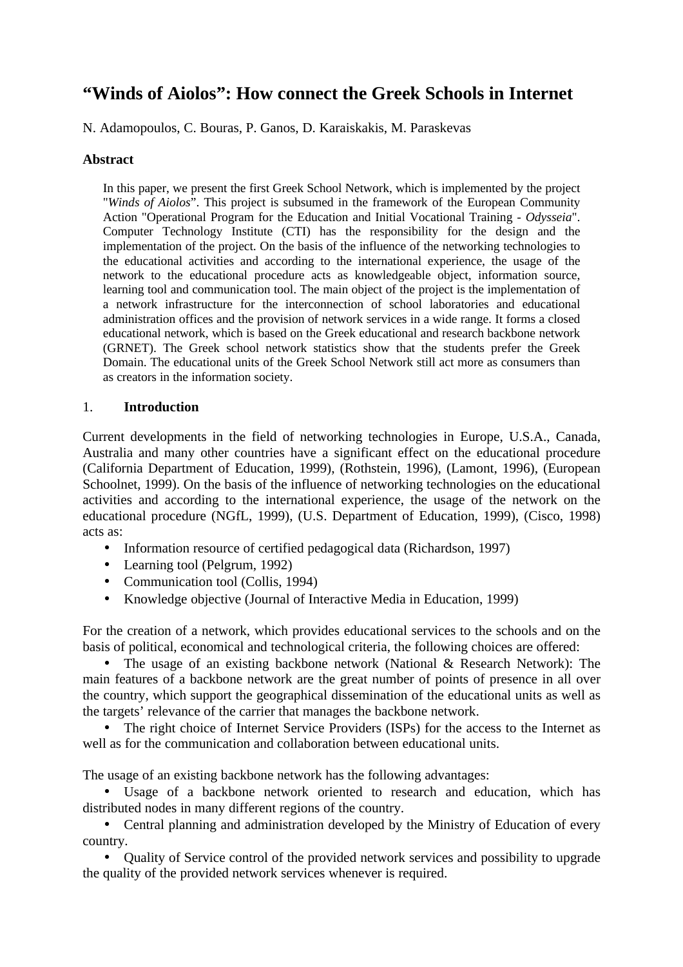# **"Winds of Aiolos": How connect the Greek Schools in Internet**

N. Adamopoulos, C. Bouras, P. Ganos, D. Karaiskakis, M. Paraskevas

### **Abstract**

In this paper, we present the first Greek School Network, which is implemented by the project "*Winds of Aiolos*". This project is subsumed in the framework of the European Community Action "Operational Program for the Education and Initial Vocational Training - *Odysseia*". Computer Technology Institute (CTI) has the responsibility for the design and the implementation of the project. On the basis of the influence of the networking technologies to the educational activities and according to the international experience, the usage of the network to the educational procedure acts as knowledgeable object, information source, learning tool and communication tool. The main object of the project is the implementation of a network infrastructure for the interconnection of school laboratories and educational administration offices and the provision of network services in a wide range. It forms a closed educational network, which is based on the Greek educational and research backbone network (GRNET). The Greek school network statistics show that the students prefer the Greek Domain. The educational units of the Greek School Network still act more as consumers than as creators in the information society.

### 1. **Introduction**

Current developments in the field of networking technologies in Europe, U.S.A., Canada, Australia and many other countries have a significant effect on the educational procedure (California Department of Education, 1999), (Rothstein, 1996), (Lamont, 1996), (European Schoolnet, 1999). On the basis of the influence of networking technologies on the educational activities and according to the international experience, the usage of the network on the educational procedure (NGfL, 1999), (U.S. Department of Education, 1999), (Cisco, 1998) acts as:

- Information resource of certified pedagogical data (Richardson, 1997)
- Learning tool (Pelgrum, 1992)
- Communication tool (Collis, 1994)
- Knowledge objective (Journal of Interactive Media in Education, 1999)

For the creation of a network, which provides educational services to the schools and on the basis of political, economical and technological criteria, the following choices are offered:

• The usage of an existing backbone network (National & Research Network): The main features of a backbone network are the great number of points of presence in all over the country, which support the geographical dissemination of the educational units as well as the targets' relevance of the carrier that manages the backbone network.

• The right choice of Internet Service Providers (ISPs) for the access to the Internet as well as for the communication and collaboration between educational units.

The usage of an existing backbone network has the following advantages:

• Usage of a backbone network oriented to research and education, which has distributed nodes in many different regions of the country.

• Central planning and administration developed by the Ministry of Education of every country.

• Quality of Service control of the provided network services and possibility to upgrade the quality of the provided network services whenever is required.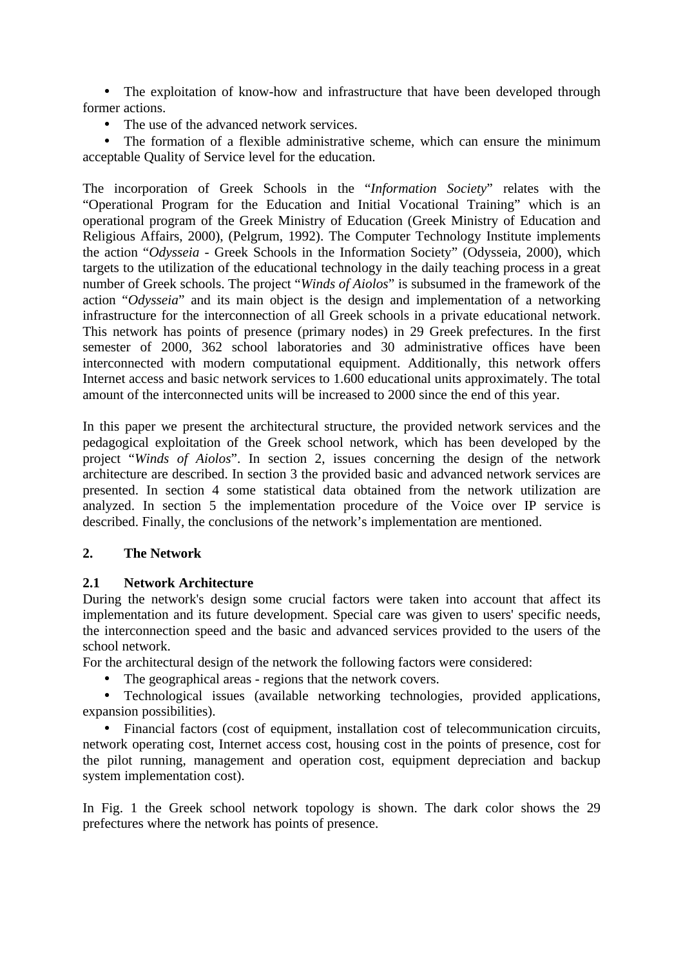• The exploitation of know-how and infrastructure that have been developed through former actions.

• The use of the advanced network services.

• The formation of a flexible administrative scheme, which can ensure the minimum acceptable Quality of Service level for the education.

The incorporation of Greek Schools in the "*Information Society*" relates with the "Operational Program for the Education and Initial Vocational Training" which is an operational program of the Greek Ministry of Education (Greek Ministry of Education and Religious Affairs, 2000), (Pelgrum, 1992). The Computer Technology Institute implements the action "*Odysseia* - Greek Schools in the Information Society" (Odysseia, 2000), which targets to the utilization of the educational technology in the daily teaching process in a great number of Greek schools. The project "*Winds of Aiolos*" is subsumed in the framework of the action "*Odysseia*" and its main object is the design and implementation of a networking infrastructure for the interconnection of all Greek schools in a private educational network. This network has points of presence (primary nodes) in 29 Greek prefectures. In the first semester of 2000, 362 school laboratories and 30 administrative offices have been interconnected with modern computational equipment. Additionally, this network offers Internet access and basic network services to 1.600 educational units approximately. The total amount of the interconnected units will be increased to 2000 since the end of this year.

In this paper we present the architectural structure, the provided network services and the pedagogical exploitation of the Greek school network, which has been developed by the project "*Winds of Aiolos*". In section 2, issues concerning the design of the network architecture are described. In section 3 the provided basic and advanced network services are presented. In section 4 some statistical data obtained from the network utilization are analyzed. In section 5 the implementation procedure of the Voice over IP service is described. Finally, the conclusions of the network's implementation are mentioned.

# **2. The Network**

# **2.1 Network Architecture**

During the network's design some crucial factors were taken into account that affect its implementation and its future development. Special care was given to users' specific needs, the interconnection speed and the basic and advanced services provided to the users of the school network.

For the architectural design of the network the following factors were considered:

• The geographical areas - regions that the network covers.

• Technological issues (available networking technologies, provided applications, expansion possibilities).

• Financial factors (cost of equipment, installation cost of telecommunication circuits, network operating cost, Internet access cost, housing cost in the points of presence, cost for the pilot running, management and operation cost, equipment depreciation and backup system implementation cost).

In Fig. 1 the Greek school network topology is shown. The dark color shows the 29 prefectures where the network has points of presence.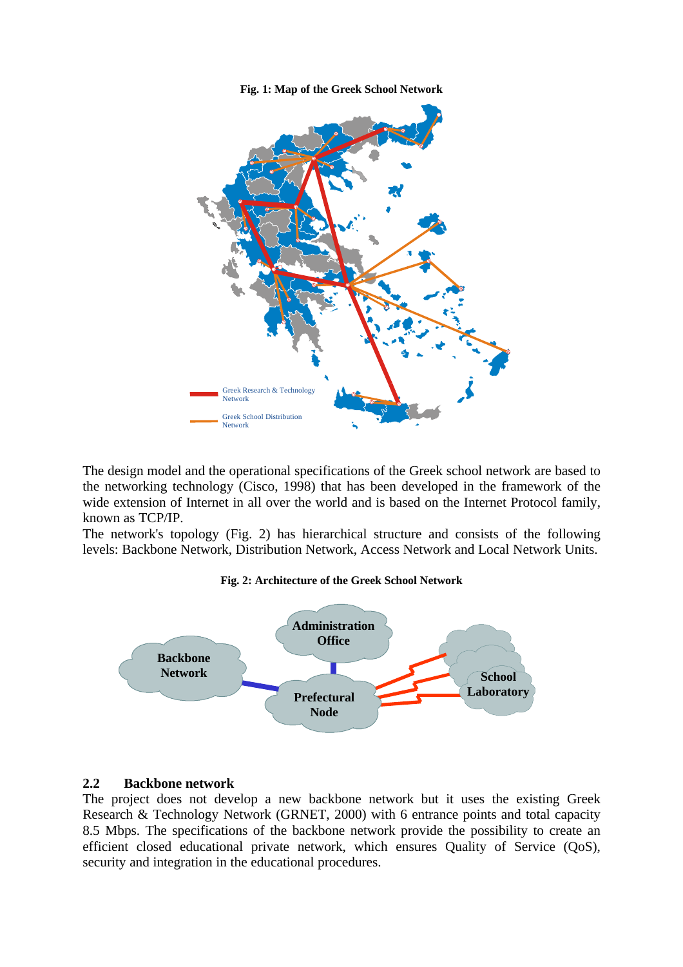



The design model and the operational specifications of the Greek school network are based to the networking technology (Cisco, 1998) that has been developed in the framework of the wide extension of Internet in all over the world and is based on the Internet Protocol family, known as TCP/IP.

The network's topology (Fig. 2) has hierarchical structure and consists of the following levels: Backbone Network, Distribution Network, Access Network and Local Network Units.

#### **Fig. 2: Architecture of the Greek School Network**



#### **2.2 Backbone network**

The project does not develop a new backbone network but it uses the existing Greek Research & Technology Network (GRNET, 2000) with 6 entrance points and total capacity 8.5 Mbps. The specifications of the backbone network provide the possibility to create an efficient closed educational private network, which ensures Quality of Service (QoS), security and integration in the educational procedures.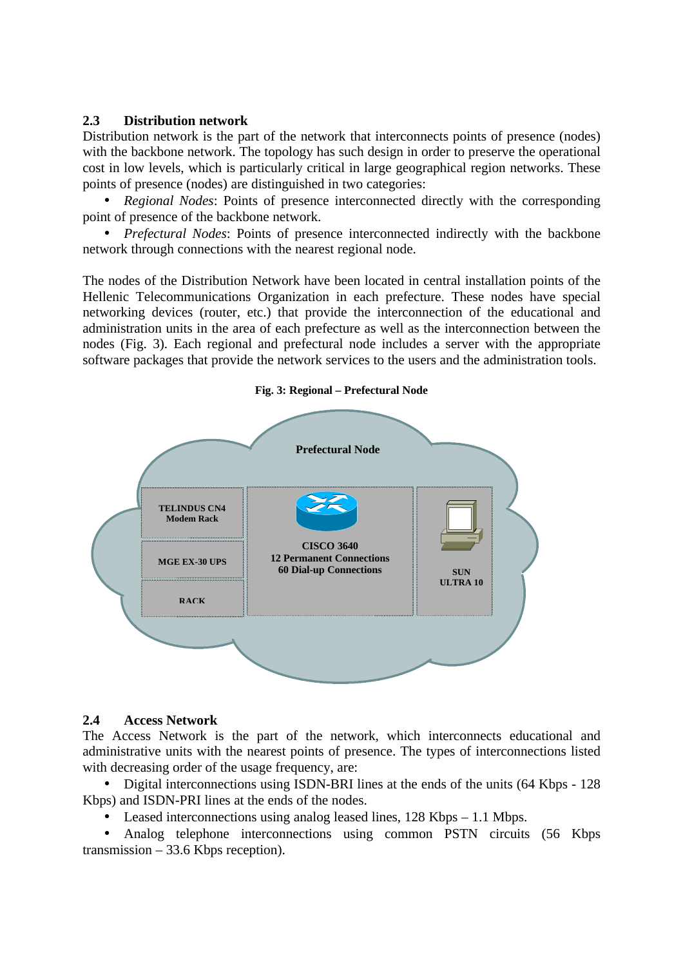### **2.3 Distribution network**

Distribution network is the part of the network that interconnects points of presence (nodes) with the backbone network. The topology has such design in order to preserve the operational cost in low levels, which is particularly critical in large geographical region networks. These points of presence (nodes) are distinguished in two categories:

• *Regional Nodes:* Points of presence interconnected directly with the corresponding point of presence of the backbone network.

• *Prefectural Nodes:* Points of presence interconnected indirectly with the backbone network through connections with the nearest regional node.

The nodes of the Distribution Network have been located in central installation points of the Hellenic Telecommunications Organization in each prefecture. These nodes have special networking devices (router, etc.) that provide the interconnection of the educational and administration units in the area of each prefecture as well as the interconnection between the nodes (Fig. 3). Each regional and prefectural node includes a server with the appropriate software packages that provide the network services to the users and the administration tools.



#### **Fig. 3: Regional – Prefectural Node**

#### **2.4 Access Network**

The Access Network is the part of the network, which interconnects educational and administrative units with the nearest points of presence. The types of interconnections listed with decreasing order of the usage frequency, are:

• Digital interconnections using ISDN-BRI lines at the ends of the units (64 Kbps - 128 Kbps) and ISDN-PRI lines at the ends of the nodes.

Leased interconnections using analog leased lines,  $128$  Kbps – 1.1 Mbps.

• Analog telephone interconnections using common PSTN circuits (56 Kbps transmission – 33.6 Kbps reception).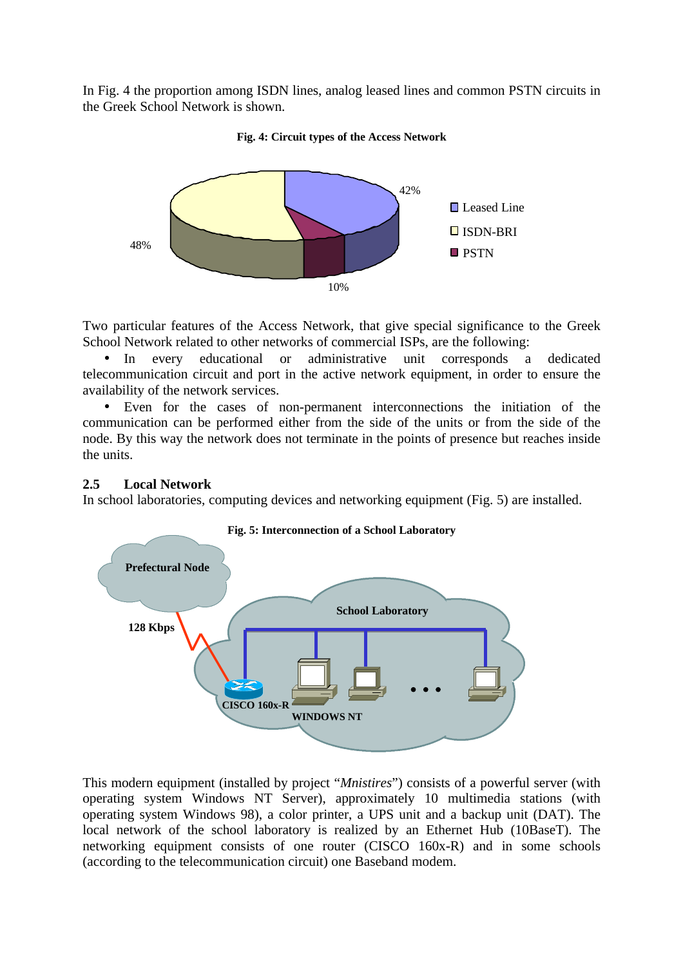In Fig. 4 the proportion among ISDN lines, analog leased lines and common PSTN circuits in the Greek School Network is shown.





Two particular features of the Access Network, that give special significance to the Greek School Network related to other networks of commercial ISPs, are the following:

In every educational or administrative unit corresponds a dedicated telecommunication circuit and port in the active network equipment, in order to ensure the availability of the network services.

• Even for the cases of non-permanent interconnections the initiation of the communication can be performed either from the side of the units or from the side of the node. By this way the network does not terminate in the points of presence but reaches inside the units.

#### **2.5 Local Network**

In school laboratories, computing devices and networking equipment (Fig. 5) are installed.



This modern equipment (installed by project "*Mnistires*") consists of a powerful server (with operating system Windows NT Server), approximately 10 multimedia stations (with operating system Windows 98), a color printer, a UPS unit and a backup unit (DAT). The local network of the school laboratory is realized by an Ethernet Hub (10BaseT). The networking equipment consists of one router (CISCO 160x-R) and in some schools (according to the telecommunication circuit) one Baseband modem.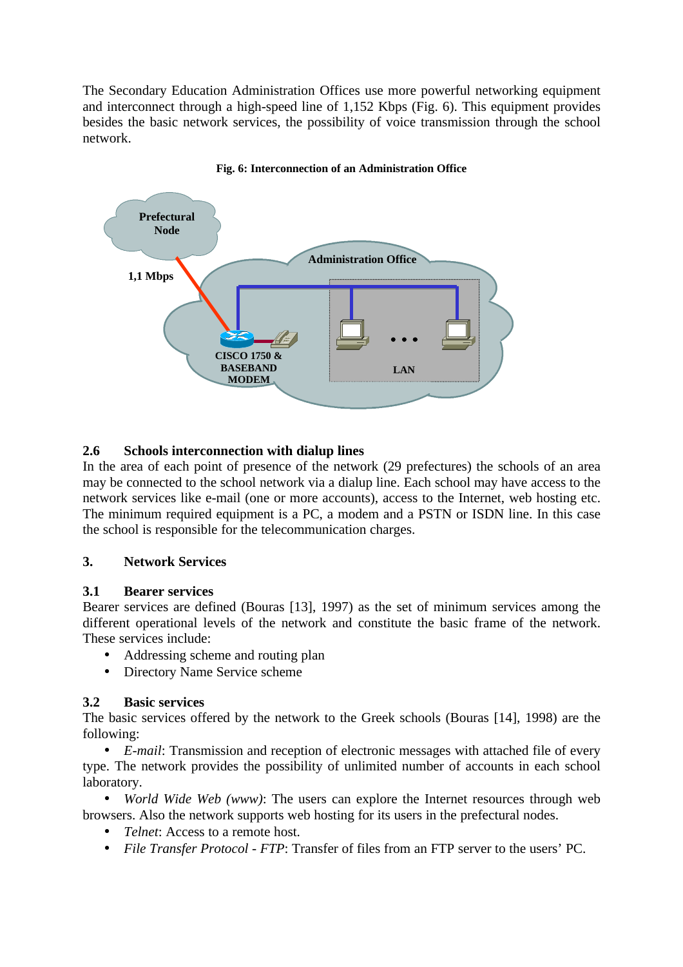The Secondary Education Administration Offices use more powerful networking equipment and interconnect through a high-speed line of 1,152 Kbps (Fig. 6). This equipment provides besides the basic network services, the possibility of voice transmission through the school network.



### **Fig. 6: Interconnection of an Administration Office**

# **2.6 Schools interconnection with dialup lines**

In the area of each point of presence of the network (29 prefectures) the schools of an area may be connected to the school network via a dialup line. Each school may have access to the network services like e-mail (one or more accounts), access to the Internet, web hosting etc. The minimum required equipment is a PC, a modem and a PSTN or ISDN line. In this case the school is responsible for the telecommunication charges.

# **3. Network Services**

# **3.1 Bearer services**

Bearer services are defined (Bouras [13], 1997) as the set of minimum services among the different operational levels of the network and constitute the basic frame of the network. These services include:

- Addressing scheme and routing plan
- Directory Name Service scheme

# **3.2 Basic services**

The basic services offered by the network to the Greek schools (Bouras [14], 1998) are the following:

• *E-mail*: Transmission and reception of electronic messages with attached file of every type. The network provides the possibility of unlimited number of accounts in each school laboratory.

• *World Wide Web (www)*: The users can explore the Internet resources through web browsers. Also the network supports web hosting for its users in the prefectural nodes.

- *Telnet*: Access to a remote host.
- *File Transfer Protocol FTP*: Transfer of files from an FTP server to the users' PC.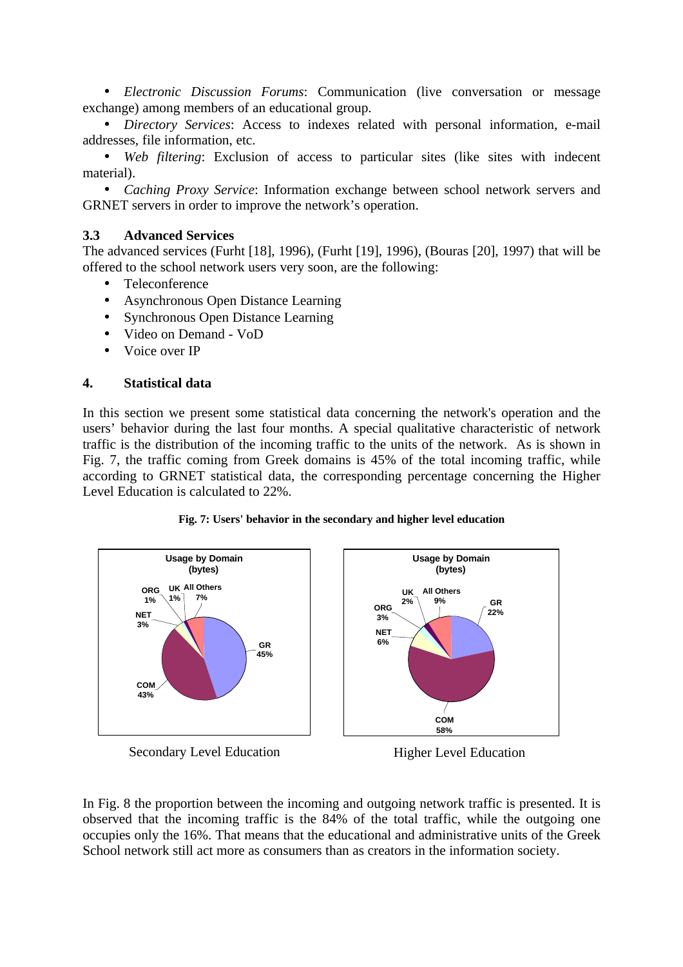• *Electronic Discussion Forums*: Communication (live conversation or message exchange) among members of an educational group.

• *Directory Services*: Access to indexes related with personal information, e-mail addresses, file information, etc.

• *Web filtering*: Exclusion of access to particular sites (like sites with indecent material).

• *Caching Proxy Service*: Information exchange between school network servers and GRNET servers in order to improve the network's operation.

### **3.3 Advanced Services**

The advanced services (Furht [18], 1996), (Furht [19], 1996), (Bouras [20], 1997) that will be offered to the school network users very soon, are the following:

- **Teleconference**
- Asynchronous Open Distance Learning
- Synchronous Open Distance Learning
- Video on Demand VoD
- Voice over IP

### **4. Statistical data**

In this section we present some statistical data concerning the network's operation and the users' behavior during the last four months. A special qualitative characteristic of network traffic is the distribution of the incoming traffic to the units of the network. As is shown in Fig. 7, the traffic coming from Greek domains is 45% of the total incoming traffic, while according to GRNET statistical data, the corresponding percentage concerning the Higher Level Education is calculated to 22%.









**Usage by Domain (bytes)**

> **All Others 9%**

**UK**

Higher Level Education

In Fig. 8 the proportion between the incoming and outgoing network traffic is presented. It is observed that the incoming traffic is the 84% of the total traffic, while the outgoing one occupies only the 16%. That means that the educational and administrative units of the Greek School network still act more as consumers than as creators in the information society.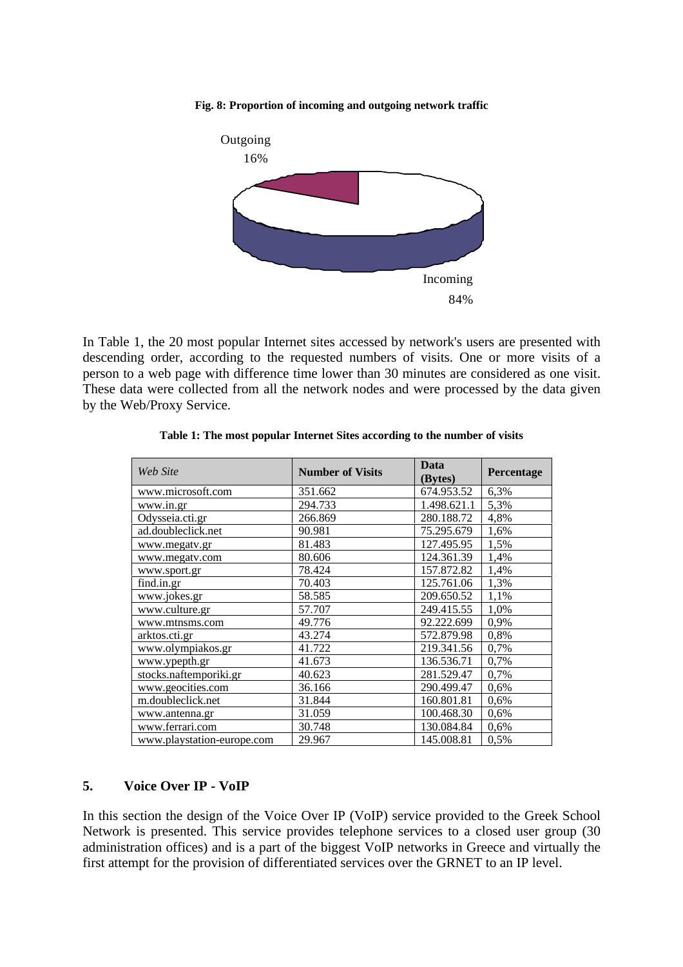#### **Fig. 8: Proportion of incoming and outgoing network traffic**



In Table 1, the 20 most popular Internet sites accessed by network's users are presented with descending order, according to the requested numbers of visits. One or more visits of a person to a web page with difference time lower than 30 minutes are considered as one visit. These data were collected from all the network nodes and were processed by the data given by the Web/Proxy Service.

| Web Site                   | <b>Number of Visits</b> | Data<br>(Bytes) | Percentage |
|----------------------------|-------------------------|-----------------|------------|
| www.microsoft.com          | 351.662                 | 674.953.52      | 6,3%       |
| www.in.gr                  | 294.733                 | 1.498.621.1     | 5,3%       |
| Odysseia.cti.gr            | 266.869                 | 280.188.72      | 4,8%       |
| ad.doubleclick.net         | 90.981                  | 75.295.679      | 1,6%       |
| www.megatv.gr              | 81.483                  | 127.495.95      | 1,5%       |
| www.megatv.com             | 80.606                  | 124.361.39      | 1,4%       |
| www.sport.gr               | 78.424                  | 157.872.82      | 1,4%       |
| find.in.gr                 | 70.403                  | 125.761.06      | 1,3%       |
| www.jokes.gr               | 58.585                  | 209.650.52      | 1,1%       |
| www.culture.gr             | 57.707                  | 249.415.55      | 1,0%       |
| www.mtnsms.com             | 49.776                  | 92.222.699      | 0,9%       |
| arktos.cti.gr              | 43.274                  | 572.879.98      | 0,8%       |
| www.olympiakos.gr          | 41.722                  | 219.341.56      | 0,7%       |
| www.ypepth.gr              | 41.673                  | 136.536.71      | 0,7%       |
| stocks.naftemporiki.gr     | 40.623                  | 281.529.47      | 0,7%       |
| www.geocities.com          | 36.166                  | 290.499.47      | 0,6%       |
| m.doubleclick.net          | 31.844                  | 160.801.81      | 0,6%       |
| www.antenna.gr             | 31.059                  | 100.468.30      | 0,6%       |
| www.ferrari.com            | 30.748                  | 130.084.84      | 0,6%       |
| www.playstation-europe.com | 29.967                  | 145.008.81      | 0.5%       |

#### **Table 1: The most popular Internet Sites according to the number of visits**

### **5. Voice Over IP - VoIP**

In this section the design of the Voice Over IP (VoIP) service provided to the Greek School Network is presented. This service provides telephone services to a closed user group (30 administration offices) and is a part of the biggest VoIP networks in Greece and virtually the first attempt for the provision of differentiated services over the GRNET to an IP level.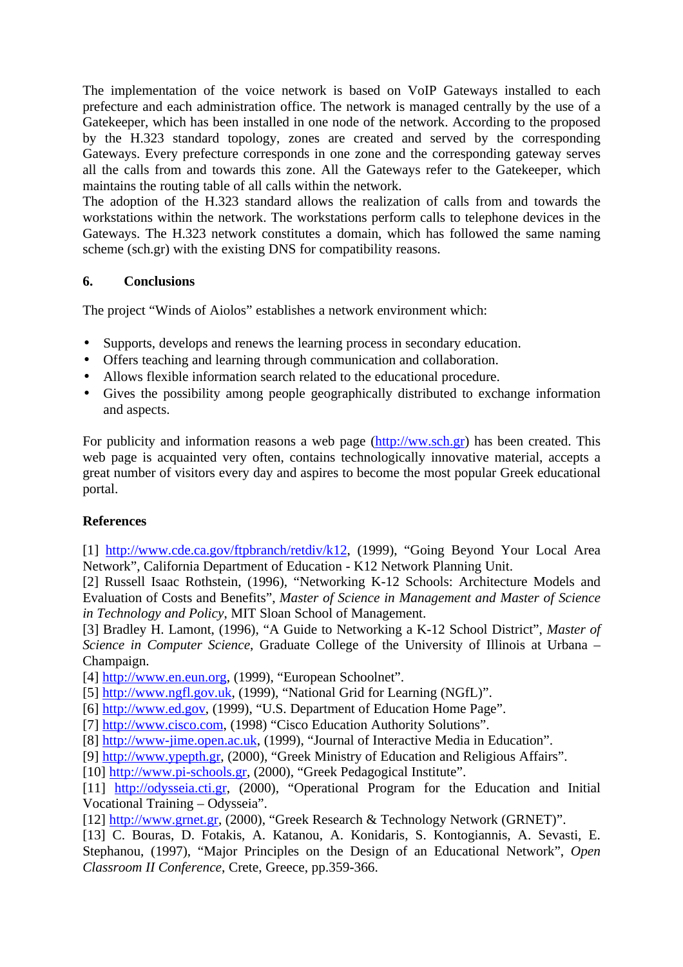The implementation of the voice network is based on VoIP Gateways installed to each prefecture and each administration office. The network is managed centrally by the use of a Gatekeeper, which has been installed in one node of the network. According to the proposed by the H.323 standard topology, zones are created and served by the corresponding Gateways. Every prefecture corresponds in one zone and the corresponding gateway serves all the calls from and towards this zone. All the Gateways refer to the Gatekeeper, which maintains the routing table of all calls within the network.

The adoption of the H.323 standard allows the realization of calls from and towards the workstations within the network. The workstations perform calls to telephone devices in the Gateways. The H.323 network constitutes a domain, which has followed the same naming scheme (sch.gr) with the existing DNS for compatibility reasons.

# **6. Conclusions**

The project "Winds of Aiolos" establishes a network environment which:

- Supports, develops and renews the learning process in secondary education.
- Offers teaching and learning through communication and collaboration.
- Allows flexible information search related to the educational procedure.
- Gives the possibility among people geographically distributed to exchange information and aspects.

For publicity and information reasons a web page (http://ww.sch.gr) has been created. This web page is acquainted very often, contains technologically innovative material, accepts a great number of visitors every day and aspires to become the most popular Greek educational portal.

# **References**

[1] http://www.cde.ca.gov/ftpbranch/retdiv/k12, (1999), "Going Beyond Your Local Area Network", California Department of Education - K12 Network Planning Unit.

[2] Russell Isaac Rothstein, (1996), "Networking K-12 Schools: Architecture Models and Evaluation of Costs and Benefits", *Master of Science in Management and Master of Science in Technology and Policy*, MIT Sloan School of Management.

[3] Bradley H. Lamont, (1996), "A Guide to Networking a K-12 School District", *Master of Science in Computer Science*, Graduate College of the University of Illinois at Urbana – Champaign.

[4] http://www.en.eun.org, (1999), "European Schoolnet".

- [5] http://www.ngfl.gov.uk, (1999), "National Grid for Learning (NGfL)".
- [6] http://www.ed.gov, (1999), "U.S. Department of Education Home Page".
- [7] http://www.cisco.com, (1998) "Cisco Education Authority Solutions".

[8] http://www-jime.open.ac.uk, (1999), "Journal of Interactive Media in Education".

[9] http://www.ypepth.gr, (2000), "Greek Ministry of Education and Religious Affairs".

[10] http://www.pi-schools.gr, (2000), "Greek Pedagogical Institute".

[11] http://odysseia.cti.gr, (2000), "Operational Program for the Education and Initial Vocational Training – Odysseia".

[12] http://www.grnet.gr, (2000), "Greek Research & Technology Network (GRNET)".

[13] C. Bouras, D. Fotakis, A. Katanou, A. Konidaris, S. Kontogiannis, A. Sevasti, E. Stephanou, (1997), "Major Principles on the Design of an Educational Network", *Open Classroom II Conference*, Crete, Greece, pp.359-366.